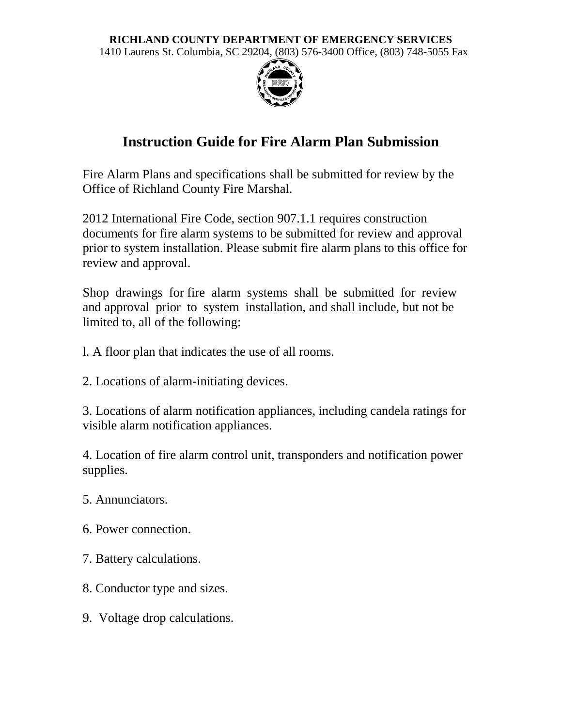## **RICHLAND COUNTY DEPARTMENT OF EMERGENCY SERVICES**

1410 Laurens St. Columbia, SC 29204, (803) 576-3400 Office, (803) 748-5055 Fax



## **Instruction Guide for Fire Alarm Plan Submission**

Fire Alarm Plans and specifications shall be submitted for review by the Office of Richland County Fire Marshal.

2012 International Fire Code, section 907.1.1 requires construction documents for fire alarm systems to be submitted for review and approval prior to system installation. Please submit fire alarm plans to this office for review and approval.

Shop drawings for fire alarm systems shall be submitted for review and approval prior to system installation, and shall include, but not be limited to, all of the following:

- l. A floor plan that indicates the use of all rooms.
- 2. Locations of alarm-initiating devices.

3. Locations of alarm notification appliances, including candela ratings for visible alarm notification appliances.

4. Location of fire alarm control unit, transponders and notification power supplies.

- 5. Annunciators.
- 6. Power connection.
- 7. Battery calculations.
- 8. Conductor type and sizes.
- 9. Voltage drop calculations.